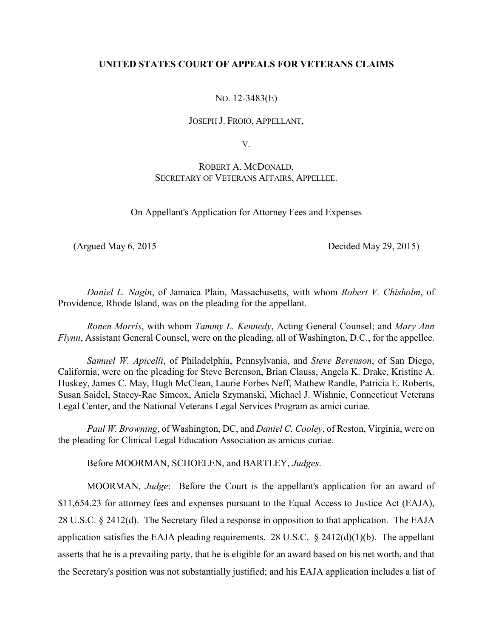# **UNITED STATES COURT OF APPEALS FOR VETERANS CLAIMS**

NO. 12-3483(E)

JOSEPH J. FROIO, APPELLANT,

V.

# ROBERT A. MCDONALD, SECRETARY OF VETERANS AFFAIRS, APPELLEE.

On Appellant's Application for Attorney Fees and Expenses

(Argued May 6, 2015 Decided May 29, 2015)

*Daniel L. Nagin*, of Jamaica Plain, Massachusetts, with whom *Robert V. Chisholm*, of Providence, Rhode Island, was on the pleading for the appellant.

*Ronen Morris*, with whom *Tammy L. Kennedy*, Acting General Counsel; and *Mary Ann Flynn*, Assistant General Counsel, were on the pleading, all of Washington, D.C., for the appellee.

*Samuel W. Apicelli*, of Philadelphia, Pennsylvania, and *Steve Berenson*, of San Diego, California, were on the pleading for Steve Berenson, Brian Clauss, Angela K. Drake, Kristine A. Huskey, James C. May, Hugh McClean, Laurie Forbes Neff, Mathew Randle, Patricia E. Roberts, Susan Saidel, Stacey-Rae Simcox, Aniela Szymanski, Michael J. Wishnie, Connecticut Veterans Legal Center, and the National Veterans Legal Services Program as amici curiae.

*Paul W. Browning*, of Washington, DC, and *Daniel C. Cooley*, of Reston, Virginia, were on the pleading for Clinical Legal Education Association as amicus curiae.

Before MOORMAN, SCHOELEN, and BARTLEY, *Judges*.

MOORMAN, *Judge*: Before the Court is the appellant's application for an award of \$11,654.23 for attorney fees and expenses pursuant to the Equal Access to Justice Act (EAJA), 28 U.S.C. § 2412(d). The Secretary filed a response in opposition to that application. The EAJA application satisfies the EAJA pleading requirements. 28 U.S.C.  $\S$  2412(d)(1)(b). The appellant asserts that he is a prevailing party, that he is eligible for an award based on his net worth, and that the Secretary's position was not substantially justified; and his EAJA application includes a list of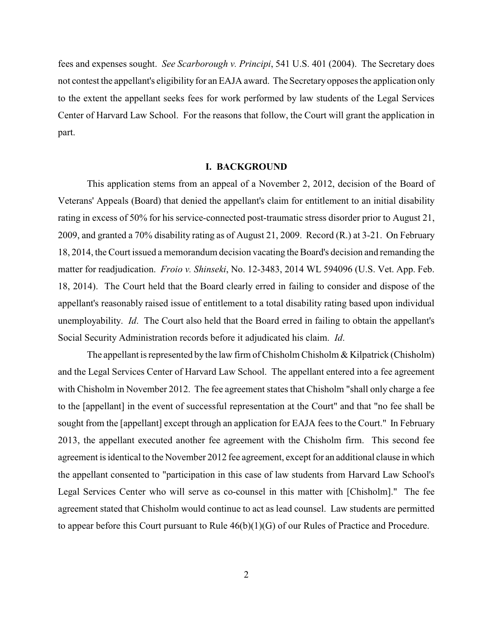fees and expenses sought. *See Scarborough v. Principi*, 541 U.S. 401 (2004). The Secretary does not contest the appellant's eligibility for an EAJA award. The Secretary opposes the application only to the extent the appellant seeks fees for work performed by law students of the Legal Services Center of Harvard Law School. For the reasons that follow, the Court will grant the application in part.

#### **I. BACKGROUND**

This application stems from an appeal of a November 2, 2012, decision of the Board of Veterans' Appeals (Board) that denied the appellant's claim for entitlement to an initial disability rating in excess of 50% for his service-connected post-traumatic stress disorder prior to August 21, 2009, and granted a 70% disability rating as of August 21, 2009. Record (R.) at 3-21. On February 18, 2014, the Court issued a memorandum decision vacating the Board's decision and remanding the matter for readjudication. *Froio v. Shinseki*, No. 12-3483, 2014 WL 594096 (U.S. Vet. App. Feb. 18, 2014). The Court held that the Board clearly erred in failing to consider and dispose of the appellant's reasonably raised issue of entitlement to a total disability rating based upon individual unemployability. *Id*. The Court also held that the Board erred in failing to obtain the appellant's Social Security Administration records before it adjudicated his claim. *Id*.

The appellant is represented by the law firm of Chisholm Chisholm  $\&$  Kilpatrick (Chisholm) and the Legal Services Center of Harvard Law School. The appellant entered into a fee agreement with Chisholm in November 2012. The fee agreement states that Chisholm "shall only charge a fee to the [appellant] in the event of successful representation at the Court" and that "no fee shall be sought from the [appellant] except through an application for EAJA fees to the Court." In February 2013, the appellant executed another fee agreement with the Chisholm firm. This second fee agreement is identical to the November 2012 fee agreement, except for an additional clause in which the appellant consented to "participation in this case of law students from Harvard Law School's Legal Services Center who will serve as co-counsel in this matter with [Chisholm]." The fee agreement stated that Chisholm would continue to act as lead counsel. Law students are permitted to appear before this Court pursuant to Rule 46(b)(1)(G) of our Rules of Practice and Procedure.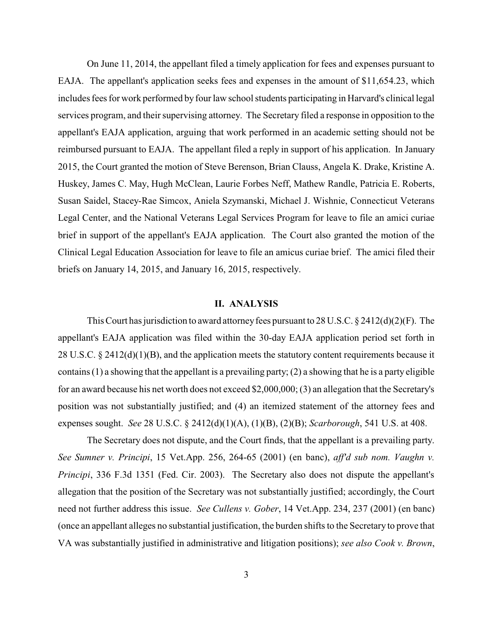On June 11, 2014, the appellant filed a timely application for fees and expenses pursuant to EAJA. The appellant's application seeks fees and expenses in the amount of \$11,654.23, which includes fees for work performed by four law school students participating in Harvard's clinical legal services program, and their supervising attorney. The Secretary filed a response in opposition to the appellant's EAJA application, arguing that work performed in an academic setting should not be reimbursed pursuant to EAJA. The appellant filed a reply in support of his application. In January 2015, the Court granted the motion of Steve Berenson, Brian Clauss, Angela K. Drake, Kristine A. Huskey, James C. May, Hugh McClean, Laurie Forbes Neff, Mathew Randle, Patricia E. Roberts, Susan Saidel, Stacey-Rae Simcox, Aniela Szymanski, Michael J. Wishnie, Connecticut Veterans Legal Center, and the National Veterans Legal Services Program for leave to file an amici curiae brief in support of the appellant's EAJA application. The Court also granted the motion of the Clinical Legal Education Association for leave to file an amicus curiae brief. The amici filed their briefs on January 14, 2015, and January 16, 2015, respectively.

### **II. ANALYSIS**

This Court has jurisdiction to award attorney fees pursuant to 28 U.S.C.  $\S 2412(d)(2)(F)$ . The appellant's EAJA application was filed within the 30-day EAJA application period set forth in 28 U.S.C. § 2412(d)(1)(B), and the application meets the statutory content requirements because it contains (1) a showing that the appellant is a prevailing party; (2) a showing that he is a party eligible for an award because his net worth does not exceed \$2,000,000; (3) an allegation that the Secretary's position was not substantially justified; and (4) an itemized statement of the attorney fees and expenses sought. *See* 28 U.S.C. § 2412(d)(1)(A), (1)(B), (2)(B); *Scarborough*, 541 U.S. at 408.

The Secretary does not dispute, and the Court finds, that the appellant is a prevailing party. *See Sumner v. Principi*, 15 Vet.App. 256, 264-65 (2001) (en banc), *aff'd sub nom. Vaughn v. Principi*, 336 F.3d 1351 (Fed. Cir. 2003). The Secretary also does not dispute the appellant's allegation that the position of the Secretary was not substantially justified; accordingly, the Court need not further address this issue. *See Cullens v. Gober*, 14 Vet.App. 234, 237 (2001) (en banc) (once an appellant alleges no substantial justification, the burden shifts to the Secretary to prove that VA was substantially justified in administrative and litigation positions); *see also Cook v. Brown*,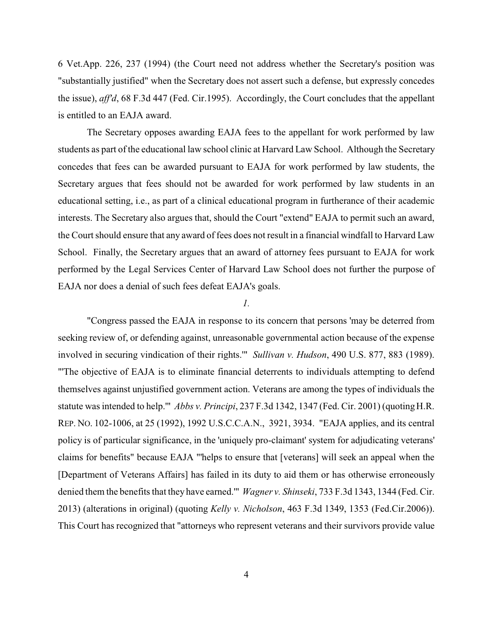6 Vet.App. 226, 237 (1994) (the Court need not address whether the Secretary's position was "substantially justified" when the Secretary does not assert such a defense, but expressly concedes the issue), *aff'd*, 68 F.3d 447 (Fed. Cir.1995). Accordingly, the Court concludes that the appellant is entitled to an EAJA award.

The Secretary opposes awarding EAJA fees to the appellant for work performed by law students as part of the educational law school clinic at Harvard Law School. Although the Secretary concedes that fees can be awarded pursuant to EAJA for work performed by law students, the Secretary argues that fees should not be awarded for work performed by law students in an educational setting, i.e., as part of a clinical educational program in furtherance of their academic interests. The Secretary also argues that, should the Court "extend" EAJA to permit such an award, the Court should ensure that any award of fees does not result in a financial windfall to Harvard Law School. Finally, the Secretary argues that an award of attorney fees pursuant to EAJA for work performed by the Legal Services Center of Harvard Law School does not further the purpose of EAJA nor does a denial of such fees defeat EAJA's goals.

### *1.*

"Congress passed the EAJA in response to its concern that persons 'may be deterred from seeking review of, or defending against, unreasonable governmental action because of the expense involved in securing vindication of their rights.'" *Sullivan v. Hudson*, 490 U.S. 877, 883 (1989). "'The objective of EAJA is to eliminate financial deterrents to individuals attempting to defend themselves against unjustified government action. Veterans are among the types of individuals the statute was intended to help.'" *Abbs v. Principi*, 237 F.3d 1342, 1347 (Fed. Cir. 2001) (quotingH.R. REP. NO. 102-1006, at 25 (1992), 1992 U.S.C.C.A.N., 3921, 3934. "EAJA applies, and its central policy is of particular significance, in the 'uniquely pro-claimant' system for adjudicating veterans' claims for benefits" because EAJA "'helps to ensure that [veterans] will seek an appeal when the [Department of Veterans Affairs] has failed in its duty to aid them or has otherwise erroneously denied them the benefits that they have earned.'" *Wagner v. Shinseki*, 733 F.3d 1343, 1344 (Fed. Cir. 2013) (alterations in original) (quoting *Kelly v. Nicholson*, 463 F.3d 1349, 1353 (Fed.Cir.2006)). This Court has recognized that "attorneys who represent veterans and their survivors provide value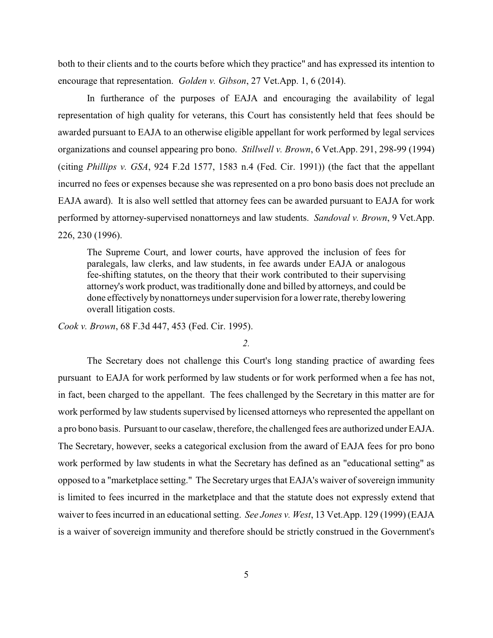both to their clients and to the courts before which they practice" and has expressed its intention to encourage that representation. *Golden v. Gibson*, 27 Vet.App. 1, 6 (2014).

In furtherance of the purposes of EAJA and encouraging the availability of legal representation of high quality for veterans, this Court has consistently held that fees should be awarded pursuant to EAJA to an otherwise eligible appellant for work performed by legal services organizations and counsel appearing pro bono. *Stillwell v. Brown*, 6 Vet.App. 291, 298-99 (1994) (citing *Phillips v. GSA*, 924 F.2d 1577, 1583 n.4 (Fed. Cir. 1991)) (the fact that the appellant incurred no fees or expenses because she was represented on a pro bono basis does not preclude an EAJA award). It is also well settled that attorney fees can be awarded pursuant to EAJA for work performed by attorney-supervised nonattorneys and law students. *Sandoval v. Brown*, 9 Vet.App. 226, 230 (1996).

The Supreme Court, and lower courts, have approved the inclusion of fees for paralegals, law clerks, and law students, in fee awards under EAJA or analogous fee-shifting statutes, on the theory that their work contributed to their supervising attorney's work product, was traditionally done and billed by attorneys, and could be done effectively by nonattorneys under supervision for a lower rate, thereby lowering overall litigation costs.

*Cook v. Brown*, 68 F.3d 447, 453 (Fed. Cir. 1995).

*2.*

The Secretary does not challenge this Court's long standing practice of awarding fees pursuant to EAJA for work performed by law students or for work performed when a fee has not, in fact, been charged to the appellant. The fees challenged by the Secretary in this matter are for work performed by law students supervised by licensed attorneys who represented the appellant on a pro bono basis. Pursuant to our caselaw, therefore, the challenged fees are authorized under EAJA. The Secretary, however, seeks a categorical exclusion from the award of EAJA fees for pro bono work performed by law students in what the Secretary has defined as an "educational setting" as opposed to a "marketplace setting." The Secretary urges that EAJA's waiver of sovereign immunity is limited to fees incurred in the marketplace and that the statute does not expressly extend that waiver to fees incurred in an educational setting. *See Jones v. West*, 13 Vet.App. 129 (1999) (EAJA is a waiver of sovereign immunity and therefore should be strictly construed in the Government's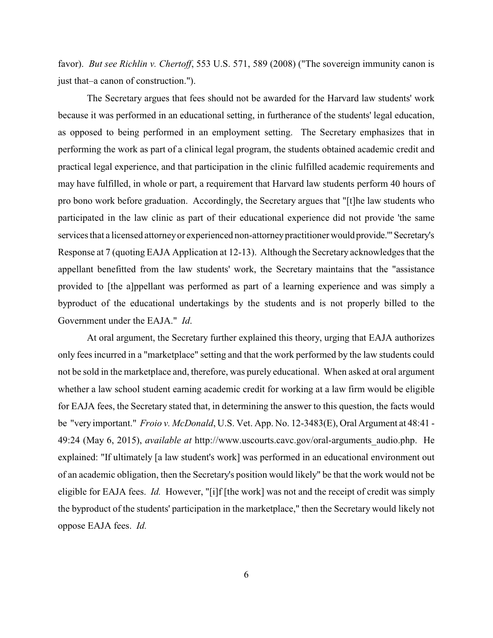favor). *But see Richlin v. Chertoff*, 553 U.S. 571, 589 (2008) ("The sovereign immunity canon is just that–a canon of construction.").

The Secretary argues that fees should not be awarded for the Harvard law students' work because it was performed in an educational setting, in furtherance of the students' legal education, as opposed to being performed in an employment setting. The Secretary emphasizes that in performing the work as part of a clinical legal program, the students obtained academic credit and practical legal experience, and that participation in the clinic fulfilled academic requirements and may have fulfilled, in whole or part, a requirement that Harvard law students perform 40 hours of pro bono work before graduation. Accordingly, the Secretary argues that "[t]he law students who participated in the law clinic as part of their educational experience did not provide 'the same services that a licensed attorney or experienced non-attorney practitioner would provide." Secretary's Response at 7 (quoting EAJA Application at 12-13). Although the Secretary acknowledges that the appellant benefitted from the law students' work, the Secretary maintains that the "assistance provided to [the a]ppellant was performed as part of a learning experience and was simply a byproduct of the educational undertakings by the students and is not properly billed to the Government under the EAJA." *Id*.

At oral argument, the Secretary further explained this theory, urging that EAJA authorizes only fees incurred in a "marketplace" setting and that the work performed by the law students could not be sold in the marketplace and, therefore, was purely educational. When asked at oral argument whether a law school student earning academic credit for working at a law firm would be eligible for EAJA fees, the Secretary stated that, in determining the answer to this question, the facts would be "very important." *Froio v. McDonald*, U.S. Vet. App. No. 12-3483(E), Oral Argument at 48:41 - 49:24 (May 6, 2015), *available at* http://www.uscourts.cavc.gov/oral-arguments\_audio.php. He explained: "If ultimately [a law student's work] was performed in an educational environment out of an academic obligation, then the Secretary's position would likely" be that the work would not be eligible for EAJA fees. *Id.* However, "[i]f [the work] was not and the receipt of credit was simply the byproduct of the students' participation in the marketplace," then the Secretary would likely not oppose EAJA fees. *Id.*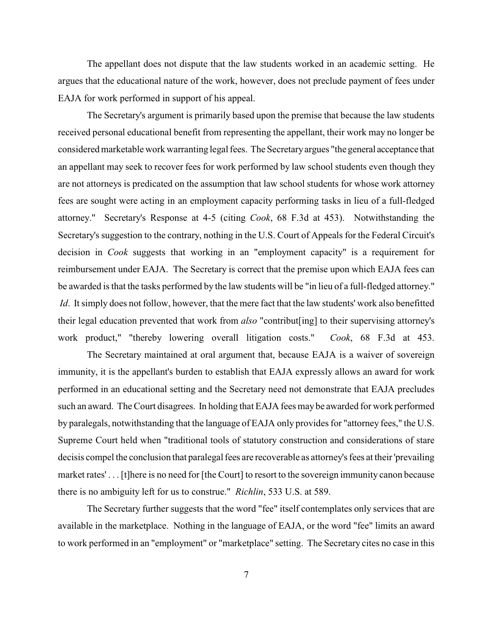The appellant does not dispute that the law students worked in an academic setting. He argues that the educational nature of the work, however, does not preclude payment of fees under EAJA for work performed in support of his appeal.

The Secretary's argument is primarily based upon the premise that because the law students received personal educational benefit from representing the appellant, their work may no longer be considered marketable work warranting legal fees. The Secretaryargues "the general acceptance that an appellant may seek to recover fees for work performed by law school students even though they are not attorneys is predicated on the assumption that law school students for whose work attorney fees are sought were acting in an employment capacity performing tasks in lieu of a full-fledged attorney." Secretary's Response at 4-5 (citing *Cook*, 68 F.3d at 453). Notwithstanding the Secretary's suggestion to the contrary, nothing in the U.S. Court of Appeals for the Federal Circuit's decision in *Cook* suggests that working in an "employment capacity" is a requirement for reimbursement under EAJA. The Secretary is correct that the premise upon which EAJA fees can be awarded is that the tasks performed by the law students will be "in lieu of a full-fledged attorney." *Id*. It simply does not follow, however, that the mere fact that the law students' work also benefitted their legal education prevented that work from *also* "contribut[ing] to their supervising attorney's work product," "thereby lowering overall litigation costs." *Cook*, 68 F.3d at 453.

The Secretary maintained at oral argument that, because EAJA is a waiver of sovereign immunity, it is the appellant's burden to establish that EAJA expressly allows an award for work performed in an educational setting and the Secretary need not demonstrate that EAJA precludes such an award. The Court disagrees. In holding that EAJA fees may be awarded for work performed by paralegals, notwithstanding that the language of EAJA only provides for "attorney fees," the U.S. Supreme Court held when "traditional tools of statutory construction and considerations of stare decisis compel the conclusion that paralegal fees are recoverable as attorney's fees at their 'prevailing market rates' . . . [t]here is no need for [the Court] to resort to the sovereign immunity canon because there is no ambiguity left for us to construe." *Richlin*, 533 U.S. at 589.

The Secretary further suggests that the word "fee" itself contemplates only services that are available in the marketplace. Nothing in the language of EAJA, or the word "fee" limits an award to work performed in an "employment" or "marketplace" setting. The Secretary cites no case in this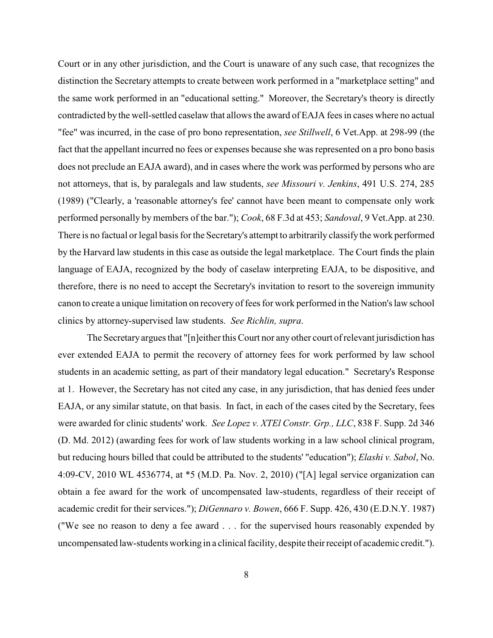Court or in any other jurisdiction, and the Court is unaware of any such case, that recognizes the distinction the Secretary attempts to create between work performed in a "marketplace setting" and the same work performed in an "educational setting." Moreover, the Secretary's theory is directly contradicted by the well-settled caselaw that allows the award of EAJA fees in cases where no actual "fee" was incurred, in the case of pro bono representation, *see Stillwell*, 6 Vet.App. at 298-99 (the fact that the appellant incurred no fees or expenses because she was represented on a pro bono basis does not preclude an EAJA award), and in cases where the work was performed by persons who are not attorneys, that is, by paralegals and law students, *see Missouri v. Jenkins*, 491 U.S. 274, 285 (1989) ("Clearly, a 'reasonable attorney's fee' cannot have been meant to compensate only work performed personally by members of the bar."); *Cook*, 68 F.3d at 453; *Sandoval*, 9 Vet.App. at 230. There is no factual or legal basis for the Secretary's attempt to arbitrarily classify the work performed by the Harvard law students in this case as outside the legal marketplace. The Court finds the plain language of EAJA, recognized by the body of caselaw interpreting EAJA, to be dispositive, and therefore, there is no need to accept the Secretary's invitation to resort to the sovereign immunity canon to create a unique limitation on recovery of fees for work performed in the Nation's law school clinics by attorney-supervised law students. *See Richlin, supra*.

The Secretary argues that "[n]either this Court nor any other court of relevant jurisdiction has ever extended EAJA to permit the recovery of attorney fees for work performed by law school students in an academic setting, as part of their mandatory legal education." Secretary's Response at 1. However, the Secretary has not cited any case, in any jurisdiction, that has denied fees under EAJA, or any similar statute, on that basis. In fact, in each of the cases cited by the Secretary, fees were awarded for clinic students' work. *See Lopez v. XTEl Constr. Grp., LLC*, 838 F. Supp. 2d 346 (D. Md. 2012) (awarding fees for work of law students working in a law school clinical program, but reducing hours billed that could be attributed to the students' "education"); *Elashi v. Sabol*, No. 4:09-CV, 2010 WL 4536774, at \*5 (M.D. Pa. Nov. 2, 2010) ("[A] legal service organization can obtain a fee award for the work of uncompensated law-students, regardless of their receipt of academic credit for their services."); *DiGennaro v. Bowen*, 666 F. Supp. 426, 430 (E.D.N.Y. 1987) ("We see no reason to deny a fee award . . . for the supervised hours reasonably expended by uncompensated law-students working in a clinical facility, despite theirreceipt of academic credit.").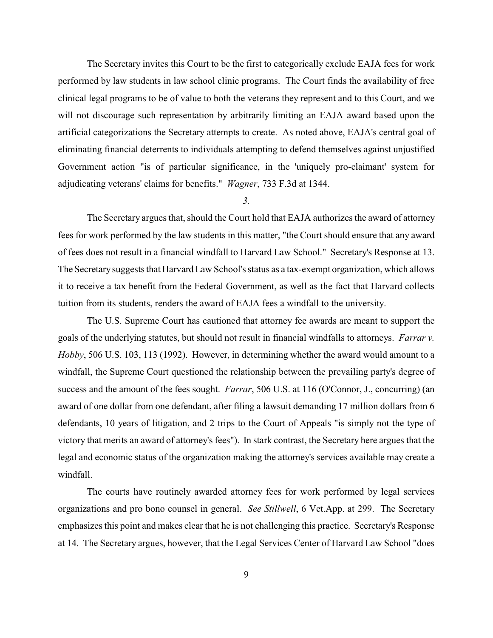The Secretary invites this Court to be the first to categorically exclude EAJA fees for work performed by law students in law school clinic programs. The Court finds the availability of free clinical legal programs to be of value to both the veterans they represent and to this Court, and we will not discourage such representation by arbitrarily limiting an EAJA award based upon the artificial categorizations the Secretary attempts to create. As noted above, EAJA's central goal of eliminating financial deterrents to individuals attempting to defend themselves against unjustified Government action "is of particular significance, in the 'uniquely pro-claimant' system for adjudicating veterans' claims for benefits." *Wagner*, 733 F.3d at 1344.

## *3.*

The Secretary argues that, should the Court hold that EAJA authorizes the award of attorney fees for work performed by the law students in this matter, "the Court should ensure that any award of fees does not result in a financial windfall to Harvard Law School." Secretary's Response at 13. The Secretary suggests that Harvard Law School's status as a tax-exempt organization, which allows it to receive a tax benefit from the Federal Government, as well as the fact that Harvard collects tuition from its students, renders the award of EAJA fees a windfall to the university.

The U.S. Supreme Court has cautioned that attorney fee awards are meant to support the goals of the underlying statutes, but should not result in financial windfalls to attorneys. *Farrar v. Hobby*, 506 U.S. 103, 113 (1992). However, in determining whether the award would amount to a windfall, the Supreme Court questioned the relationship between the prevailing party's degree of success and the amount of the fees sought. *Farrar*, 506 U.S. at 116 (O'Connor, J., concurring) (an award of one dollar from one defendant, after filing a lawsuit demanding 17 million dollars from 6 defendants, 10 years of litigation, and 2 trips to the Court of Appeals "is simply not the type of victory that merits an award of attorney's fees"). In stark contrast, the Secretary here argues that the legal and economic status of the organization making the attorney's services available may create a windfall.

The courts have routinely awarded attorney fees for work performed by legal services organizations and pro bono counsel in general. *See Stillwell*, 6 Vet.App. at 299. The Secretary emphasizes this point and makes clear that he is not challenging this practice. Secretary's Response at 14. The Secretary argues, however, that the Legal Services Center of Harvard Law School "does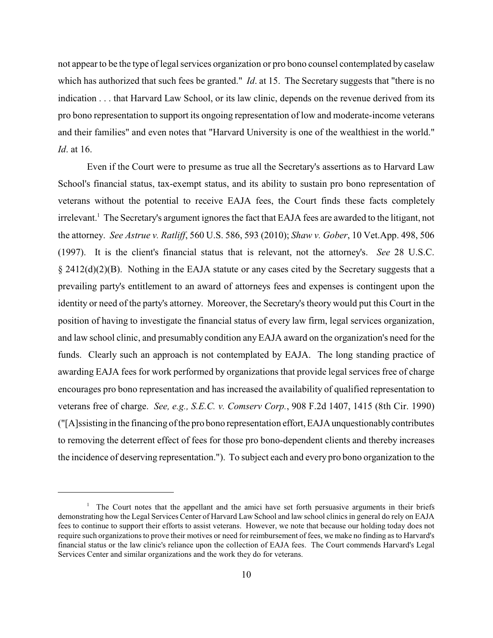not appear to be the type of legal services organization or pro bono counsel contemplated by caselaw which has authorized that such fees be granted." *Id.* at 15. The Secretary suggests that "there is no indication . . . that Harvard Law School, or its law clinic, depends on the revenue derived from its pro bono representation to support its ongoing representation of low and moderate-income veterans and their families" and even notes that "Harvard University is one of the wealthiest in the world." *Id*. at 16.

Even if the Court were to presume as true all the Secretary's assertions as to Harvard Law School's financial status, tax-exempt status, and its ability to sustain pro bono representation of veterans without the potential to receive EAJA fees, the Court finds these facts completely irrelevant.<sup>1</sup> The Secretary's argument ignores the fact that EAJA fees are awarded to the litigant, not the attorney. *See Astrue v. Ratliff*, 560 U.S. 586, 593 (2010); *Shaw v. Gober*, 10 Vet.App. 498, 506 (1997). It is the client's financial status that is relevant, not the attorney's. *See* 28 U.S.C. § 2412(d)(2)(B). Nothing in the EAJA statute or any cases cited by the Secretary suggests that a prevailing party's entitlement to an award of attorneys fees and expenses is contingent upon the identity or need of the party's attorney. Moreover, the Secretary's theory would put this Court in the position of having to investigate the financial status of every law firm, legal services organization, and law school clinic, and presumably condition any EAJA award on the organization's need for the funds. Clearly such an approach is not contemplated by EAJA. The long standing practice of awarding EAJA fees for work performed by organizations that provide legal services free of charge encourages pro bono representation and has increased the availability of qualified representation to veterans free of charge. *See, e.g., S.E.C. v. Comserv Corp.*, 908 F.2d 1407, 1415 (8th Cir. 1990) ("[A]ssisting in the financing of the pro bono representation effort,EAJAunquestionablycontributes to removing the deterrent effect of fees for those pro bono-dependent clients and thereby increases the incidence of deserving representation."). To subject each and every pro bono organization to the

 $\frac{1}{1}$  The Court notes that the appellant and the amici have set forth persuasive arguments in their briefs demonstrating how the Legal Services Center of Harvard Law School and law school clinics in general do rely on EAJA fees to continue to support their efforts to assist veterans. However, we note that because our holding today does not require such organizations to prove their motives or need for reimbursement of fees, we make no finding as to Harvard's financial status or the law clinic's reliance upon the collection of EAJA fees. The Court commends Harvard's Legal Services Center and similar organizations and the work they do for veterans.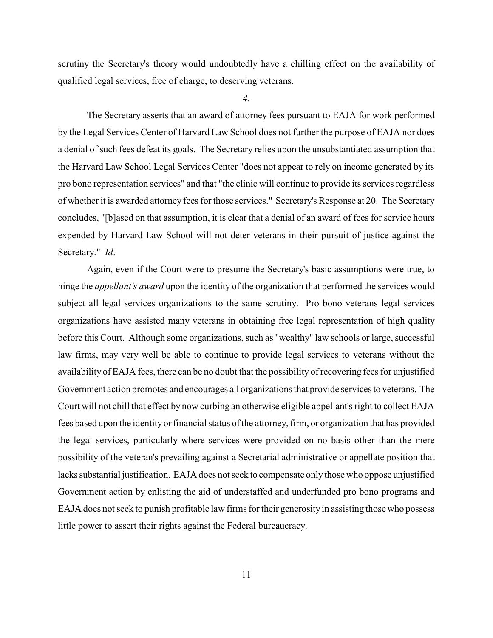scrutiny the Secretary's theory would undoubtedly have a chilling effect on the availability of qualified legal services, free of charge, to deserving veterans.

*4.*

The Secretary asserts that an award of attorney fees pursuant to EAJA for work performed by the Legal Services Center of Harvard Law School does not further the purpose of EAJA nor does a denial of such fees defeat its goals. The Secretary relies upon the unsubstantiated assumption that the Harvard Law School Legal Services Center "does not appear to rely on income generated by its pro bono representation services" and that "the clinic will continue to provide its services regardless of whetherit is awarded attorney fees for those services." Secretary's Response at 20. The Secretary concludes, "[b]ased on that assumption, it is clear that a denial of an award of fees for service hours expended by Harvard Law School will not deter veterans in their pursuit of justice against the Secretary." *Id*.

Again, even if the Court were to presume the Secretary's basic assumptions were true, to hinge the *appellant's award* upon the identity of the organization that performed the services would subject all legal services organizations to the same scrutiny. Pro bono veterans legal services organizations have assisted many veterans in obtaining free legal representation of high quality before this Court. Although some organizations, such as "wealthy" law schools or large, successful law firms, may very well be able to continue to provide legal services to veterans without the availability of EAJA fees, there can be no doubt that the possibility of recovering fees for unjustified Government action promotes and encourages all organizations that provide services to veterans. The Court will not chill that effect by now curbing an otherwise eligible appellant's right to collect EAJA fees based upon the identity or financial status of the attorney, firm, or organization that has provided the legal services, particularly where services were provided on no basis other than the mere possibility of the veteran's prevailing against a Secretarial administrative or appellate position that lacks substantial justification. EAJA does not seek to compensate only those who oppose unjustified Government action by enlisting the aid of understaffed and underfunded pro bono programs and EAJA does not seek to punish profitable law firms for their generosity in assisting those who possess little power to assert their rights against the Federal bureaucracy.